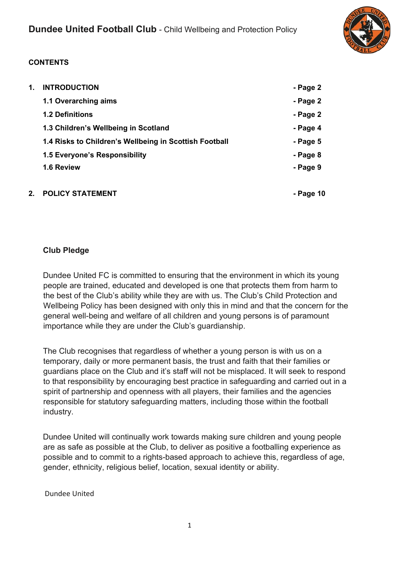

## **CONTENTS**

| 1. | <b>INTRODUCTION</b>                                    | - Page 2  |
|----|--------------------------------------------------------|-----------|
|    | 1.1 Overarching aims                                   | - Page 2  |
|    | <b>1.2 Definitions</b>                                 | - Page 2  |
|    | 1.3 Children's Wellbeing in Scotland                   | - Page 4  |
|    | 1.4 Risks to Children's Wellbeing in Scottish Football | - Page 5  |
|    | 1.5 Everyone's Responsibility                          | - Page 8  |
|    | 1.6 Review                                             | - Page 9  |
|    |                                                        |           |
| 2. | <b>POLICY STATEMENT</b>                                | - Page 10 |

## **Club Pledge**

Dundee United FC is committed to ensuring that the environment in which its young people are trained, educated and developed is one that protects them from harm to the best of the Club's ability while they are with us. The Club's Child Protection and Wellbeing Policy has been designed with only this in mind and that the concern for the general well-being and welfare of all children and young persons is of paramount importance while they are under the Club's guardianship.

The Club recognises that regardless of whether a young person is with us on a temporary, daily or more permanent basis, the trust and faith that their families or guardians place on the Club and it's staff will not be misplaced. It will seek to respond to that responsibility by encouraging best practice in safeguarding and carried out in a spirit of partnership and openness with all players, their families and the agencies responsible for statutory safeguarding matters, including those within the football industry.

Dundee United will continually work towards making sure children and young people are as safe as possible at the Club, to deliver as positive a footballing experience as possible and to commit to a rights-based approach to achieve this, regardless of age, gender, ethnicity, religious belief, location, sexual identity or ability.

Dundee United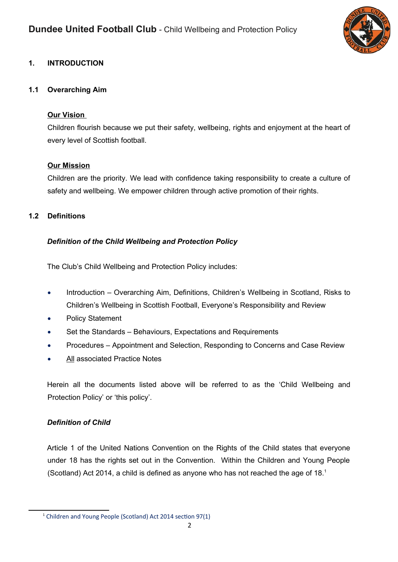

## **1. INTRODUCTION**

#### **1.1 Overarching Aim**

#### **Our Vision**

Children flourish because we put their safety, wellbeing, rights and enjoyment at the heart of every level of Scottish football.

#### **Our Mission**

Children are the priority. We lead with confidence taking responsibility to create a culture of safety and wellbeing. We empower children through active promotion of their rights.

### **1.2 Definitions**

### *Definition of the Child Wellbeing and Protection Policy*

The Club's Child Wellbeing and Protection Policy includes:

- Introduction Overarching Aim, Definitions, Children's Wellbeing in Scotland, Risks to Children's Wellbeing in Scottish Football, Everyone's Responsibility and Review
- Policy Statement
- Set the Standards Behaviours, Expectations and Requirements
- Procedures Appointment and Selection, Responding to Concerns and Case Review
- All associated Practice Notes

Herein all the documents listed above will be referred to as the 'Child Wellbeing and Protection Policy' or 'this policy'.

### *Definition of Child*

Article 1 of the United Nations Convention on the Rights of the Child states that everyone under 18 has the rights set out in the Convention. Within the Children and Young People (Scotland) Act 2014, a child is defined as anyone who has not reached the age of 18.[1](#page-1-0)

<span id="page-1-0"></span><sup>&</sup>lt;sup>1</sup> Children and Young People (Scotland) Act 2014 section 97(1)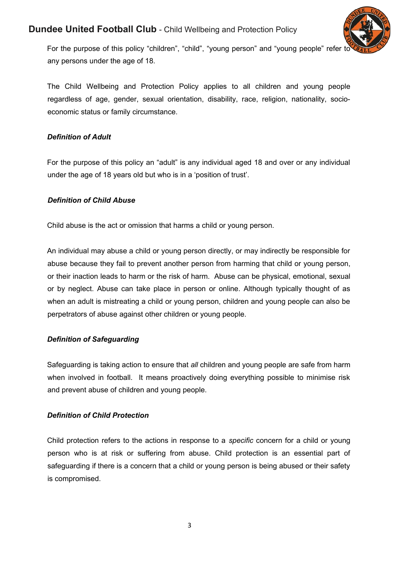

For the purpose of this policy "children", "child", "young person" and "young people" refer to any persons under the age of 18.

The Child Wellbeing and Protection Policy applies to all children and young people regardless of age, gender, sexual orientation, disability, race, religion, nationality, socioeconomic status or family circumstance.

### *Definition of Adult*

For the purpose of this policy an "adult" is any individual aged 18 and over or any individual under the age of 18 years old but who is in a 'position of trust'.

#### *Definition of Child Abuse*

Child abuse is the act or omission that harms a child or young person.

An individual may abuse a child or young person directly, or may indirectly be responsible for abuse because they fail to prevent another person from harming that child or young person, or their inaction leads to harm or the risk of harm. Abuse can be physical, emotional, sexual or by neglect. Abuse can take place in person or online. Although typically thought of as when an adult is mistreating a child or young person, children and young people can also be perpetrators of abuse against other children or young people.

### *Definition of Safeguarding*

Safeguarding is taking action to ensure that *all* children and young people are safe from harm when involved in football. It means proactively doing everything possible to minimise risk and prevent abuse of children and young people.

### *Definition of Child Protection*

Child protection refers to the actions in response to a *specific* concern for a child or young person who is at risk or suffering from abuse. Child protection is an essential part of safeguarding if there is a concern that a child or young person is being abused or their safety is compromised.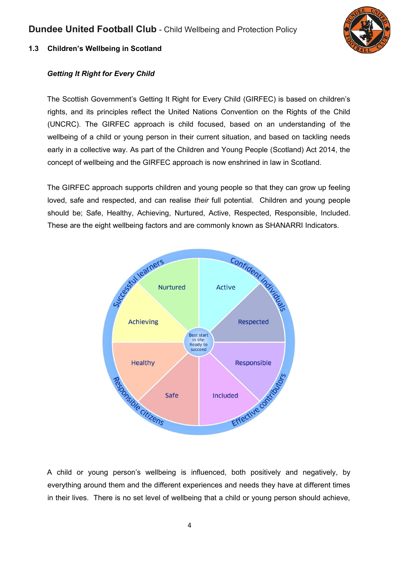

## **1.3 Children's Wellbeing in Scotland**

## *Getting It Right for Every Child*

The Scottish Government's Getting It Right for Every Child (GIRFEC) is based on children's rights, and its principles reflect the United Nations Convention on the Rights of the Child (UNCRC). The GIRFEC approach is child focused, based on an understanding of the wellbeing of a child or young person in their current situation, and based on tackling needs early in a collective way. As part of the Children and Young People (Scotland) Act 2014, the concept of wellbeing and the GIRFEC approach is now enshrined in law in Scotland.

The GIRFEC approach supports children and young people so that they can grow up feeling loved, safe and respected, and can realise *their* full potential. Children and young people should be; Safe, Healthy, Achieving, Nurtured, Active, Respected, Responsible, Included. These are the eight wellbeing factors and are commonly known as SHANARRI Indicators.



A child or young person's wellbeing is influenced, both positively and negatively, by everything around them and the different experiences and needs they have at different times in their lives. There is no set level of wellbeing that a child or young person should achieve,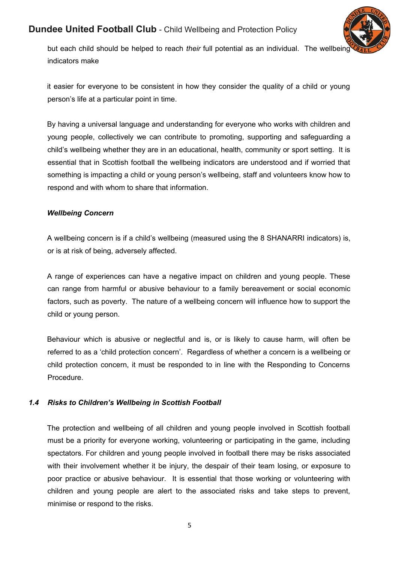

but each child should be helped to reach *their* full potential as an individual. The wellbeing indicators make

it easier for everyone to be consistent in how they consider the quality of a child or young person's life at a particular point in time.

By having a universal language and understanding for everyone who works with children and young people, collectively we can contribute to promoting, supporting and safeguarding a child's wellbeing whether they are in an educational, health, community or sport setting. It is essential that in Scottish football the wellbeing indicators are understood and if worried that something is impacting a child or young person's wellbeing, staff and volunteers know how to respond and with whom to share that information.

### *Wellbeing Concern*

A wellbeing concern is if a child's wellbeing (measured using the 8 SHANARRI indicators) is, or is at risk of being, adversely affected.

A range of experiences can have a negative impact on children and young people. These can range from harmful or abusive behaviour to a family bereavement or social economic factors, such as poverty. The nature of a wellbeing concern will influence how to support the child or young person.

Behaviour which is abusive or neglectful and is, or is likely to cause harm, will often be referred to as a 'child protection concern'. Regardless of whether a concern is a wellbeing or child protection concern, it must be responded to in line with the Responding to Concerns Procedure.

### *1.4 Risks to Children's Wellbeing in Scottish Football*

The protection and wellbeing of all children and young people involved in Scottish football must be a priority for everyone working, volunteering or participating in the game, including spectators. For children and young people involved in football there may be risks associated with their involvement whether it be injury, the despair of their team losing, or exposure to poor practice or abusive behaviour. It is essential that those working or volunteering with children and young people are alert to the associated risks and take steps to prevent, minimise or respond to the risks.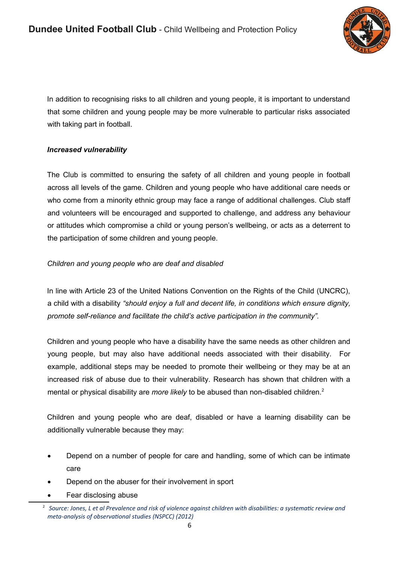

In addition to recognising risks to all children and young people, it is important to understand that some children and young people may be more vulnerable to particular risks associated with taking part in football.

### *Increased vulnerability*

The Club is committed to ensuring the safety of all children and young people in football across all levels of the game. Children and young people who have additional care needs or who come from a minority ethnic group may face a range of additional challenges. Club staff and volunteers will be encouraged and supported to challenge, and address any behaviour or attitudes which compromise a child or young person's wellbeing, or acts as a deterrent to the participation of some children and young people.

### *Children and young people who are deaf and disabled*

In line with Article 23 of the United Nations Convention on the Rights of the Child (UNCRC), a child with a disability *"should enjoy a full and decent life, in conditions which ensure dignity, promote self-reliance and facilitate the child's active participation in the community".* 

Children and young people who have a disability have the same needs as other children and young people, but may also have additional needs associated with their disability. For example, additional steps may be needed to promote their wellbeing or they may be at an increased risk of abuse due to their vulnerability. Research has shown that children with a mental or physical disability are *more likely* to be abused than non-disabled children.<sup>[2](#page-5-0)</sup>

Children and young people who are deaf, disabled or have a learning disability can be additionally vulnerable because they may:

- Depend on a number of people for care and handling, some of which can be intimate care
- Depend on the abuser for their involvement in sport
- Fear disclosing abuse

<span id="page-5-0"></span><sup>2</sup> *Source: Jones, L et al Prevalence and risk of violence against children with disabilities: a systematic review and meta-analysis of observational studies (NSPCC) (2012)*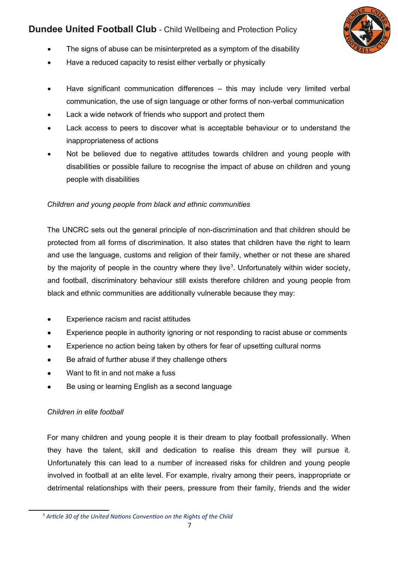

- The signs of abuse can be misinterpreted as a symptom of the disability
- Have a reduced capacity to resist either verbally or physically
- Have significant communication differences this may include very limited verbal communication, the use of sign language or other forms of non-verbal communication
- Lack a wide network of friends who support and protect them
- Lack access to peers to discover what is acceptable behaviour or to understand the inappropriateness of actions
- Not be believed due to negative attitudes towards children and young people with disabilities or possible failure to recognise the impact of abuse on children and young people with disabilities

### *Children and young people from black and ethnic communities*

The UNCRC sets out the general principle of non-discrimination and that children should be protected from all forms of discrimination. It also states that children have the right to learn and use the language, customs and religion of their family, whether or not these are shared by the majority of people in the country where they live<sup>[3](#page-6-0)</sup>. Unfortunately within wider society, and football, discriminatory behaviour still exists therefore children and young people from black and ethnic communities are additionally vulnerable because they may:

- Experience racism and racist attitudes
- Experience people in authority ignoring or not responding to racist abuse or comments
- Experience no action being taken by others for fear of upsetting cultural norms
- Be afraid of further abuse if they challenge others
- Want to fit in and not make a fuss
- Be using or learning English as a second language

## *Children in elite football*

For many children and young people it is their dream to play football professionally. When they have the talent, skill and dedication to realise this dream they will pursue it. Unfortunately this can lead to a number of increased risks for children and young people involved in football at an elite level. For example, rivalry among their peers, inappropriate or detrimental relationships with their peers, pressure from their family, friends and the wider

<span id="page-6-0"></span><sup>3</sup> *Article 30 of the United Nations Convention on the Rights of the Child*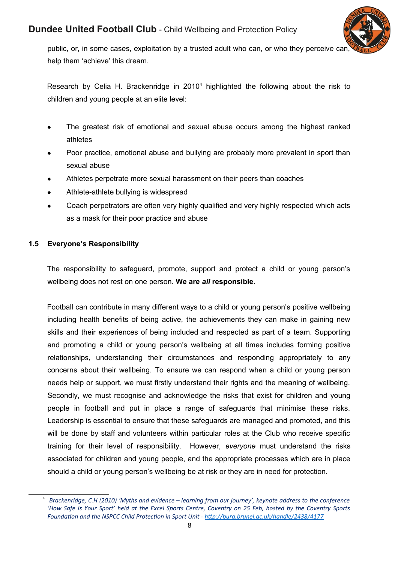

public, or, in some cases, exploitation by a trusted adult who can, or who they perceive can help them 'achieve' this dream.

Research by Celia H. Brackenridge in 2010<sup>[4](#page-7-0)</sup> highlighted the following about the risk to children and young people at an elite level:

- The greatest risk of emotional and sexual abuse occurs among the highest ranked athletes
- Poor practice, emotional abuse and bullying are probably more prevalent in sport than sexual abuse
- Athletes perpetrate more sexual harassment on their peers than coaches
- Athlete-athlete bullying is widespread
- Coach perpetrators are often very highly qualified and very highly respected which acts as a mask for their poor practice and abuse

### **1.5 Everyone's Responsibility**

The responsibility to safeguard, promote, support and protect a child or young person's wellbeing does not rest on one person. **We are** *all* **responsible**.

Football can contribute in many different ways to a child or young person's positive wellbeing including health benefits of being active, the achievements they can make in gaining new skills and their experiences of being included and respected as part of a team. Supporting and promoting a child or young person's wellbeing at all times includes forming positive relationships, understanding their circumstances and responding appropriately to any concerns about their wellbeing. To ensure we can respond when a child or young person needs help or support, we must firstly understand their rights and the meaning of wellbeing. Secondly, we must recognise and acknowledge the risks that exist for children and young people in football and put in place a range of safeguards that minimise these risks. Leadership is essential to ensure that these safeguards are managed and promoted, and this will be done by staff and volunteers within particular roles at the Club who receive specific training for their level of responsibility. However, *everyone* must understand the risks associated for children and young people, and the appropriate processes which are in place should a child or young person's wellbeing be at risk or they are in need for protection.

<span id="page-7-0"></span><sup>4</sup> *Brackenridge, C.H (2010) 'Myths and evidence – learning from our journey', keynote address to the conference 'How Safe is Your Sport' held at the Excel Sports Centre, Coventry on 25 Feb, hosted by the Coventry Sports Foundation and the NSPCC Child Protection in Sport Unit -<http://bura.brunel.ac.uk/handle/2438/4177>*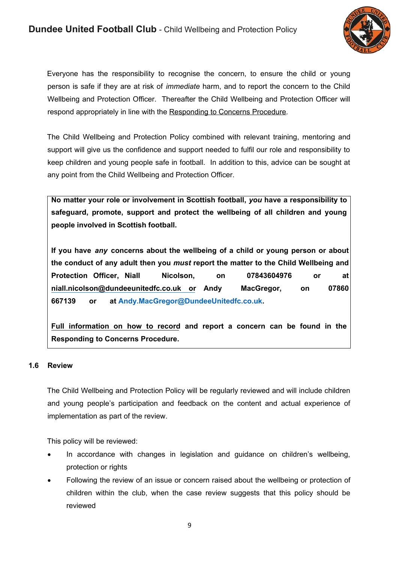

Everyone has the responsibility to recognise the concern, to ensure the child or young person is safe if they are at risk of *immediate* harm, and to report the concern to the Child Wellbeing and Protection Officer. Thereafter the Child Wellbeing and Protection Officer will respond appropriately in line with the Responding to Concerns Procedure.

The Child Wellbeing and Protection Policy combined with relevant training, mentoring and support will give us the confidence and support needed to fulfil our role and responsibility to keep children and young people safe in football. In addition to this, advice can be sought at any point from the Child Wellbeing and Protection Officer.

**No matter your role or involvement in Scottish football,** *you* **have a responsibility to safeguard, promote, support and protect the wellbeing of all children and young people involved in Scottish football.** 

**If you have** *any* **concerns about the wellbeing of a child or young person or about the conduct of any adult then you** *must* **report the matter to the Child Wellbeing and Protection Officer, Niall Nicolson, on 07843604976 or at niall.nicolson@dundeeunitedfc.co.uk or Andy MacGregor, on 07860 667139 or at [Andy.MacGregor@DundeeUnitedfc.co.uk.](mailto:Andy.MacGregor@DundeeUnitedfc.co.uk)** 

**Full information on how to record and report a concern can be found in the Responding to Concerns Procedure.**

### **1.6 Review**

The Child Wellbeing and Protection Policy will be regularly reviewed and will include children and young people's participation and feedback on the content and actual experience of implementation as part of the review.

This policy will be reviewed:

- In accordance with changes in legislation and guidance on children's wellbeing, protection or rights
- Following the review of an issue or concern raised about the wellbeing or protection of children within the club, when the case review suggests that this policy should be reviewed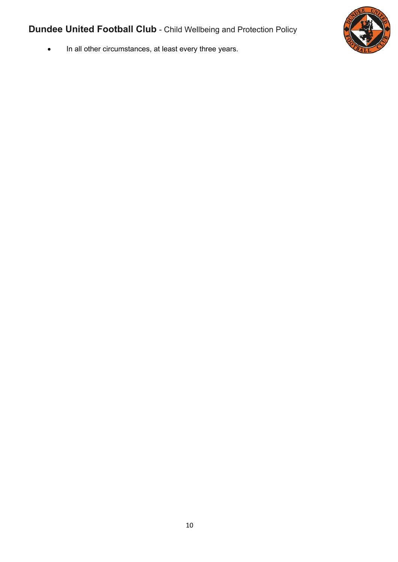

• In all other circumstances, at least every three years.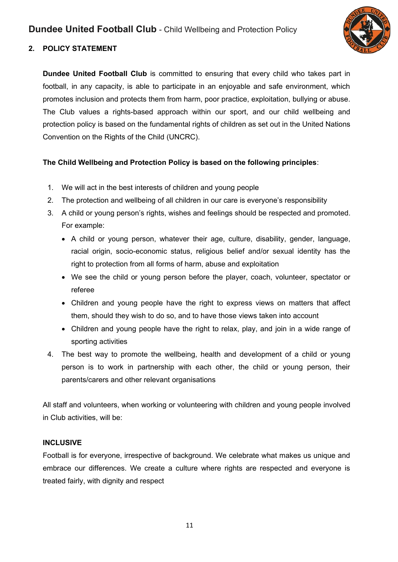

## **2. POLICY STATEMENT**

**Dundee United Football Club** is committed to ensuring that every child who takes part in football, in any capacity, is able to participate in an enjoyable and safe environment, which promotes inclusion and protects them from harm, poor practice, exploitation, bullying or abuse. The Club values a rights-based approach within our sport, and our child wellbeing and protection policy is based on the fundamental rights of children as set out in the United Nations Convention on the Rights of the Child (UNCRC).

## **The Child Wellbeing and Protection Policy is based on the following principles**:

- 1. We will act in the best interests of children and young people
- 2. The protection and wellbeing of all children in our care is everyone's responsibility
- 3. A child or young person's rights, wishes and feelings should be respected and promoted. For example:
	- A child or young person, whatever their age, culture, disability, gender, language, racial origin, socio-economic status, religious belief and/or sexual identity has the right to protection from all forms of harm, abuse and exploitation
	- We see the child or young person before the player, coach, volunteer, spectator or referee
	- Children and young people have the right to express views on matters that affect them, should they wish to do so, and to have those views taken into account
	- Children and young people have the right to relax, play, and join in a wide range of sporting activities
- 4. The best way to promote the wellbeing, health and development of a child or young person is to work in partnership with each other, the child or young person, their parents/carers and other relevant organisations

All staff and volunteers, when working or volunteering with children and young people involved in Club activities, will be:

## **INCLUSIVE**

Football is for everyone, irrespective of background. We celebrate what makes us unique and embrace our differences. We create a culture where rights are respected and everyone is treated fairly, with dignity and respect